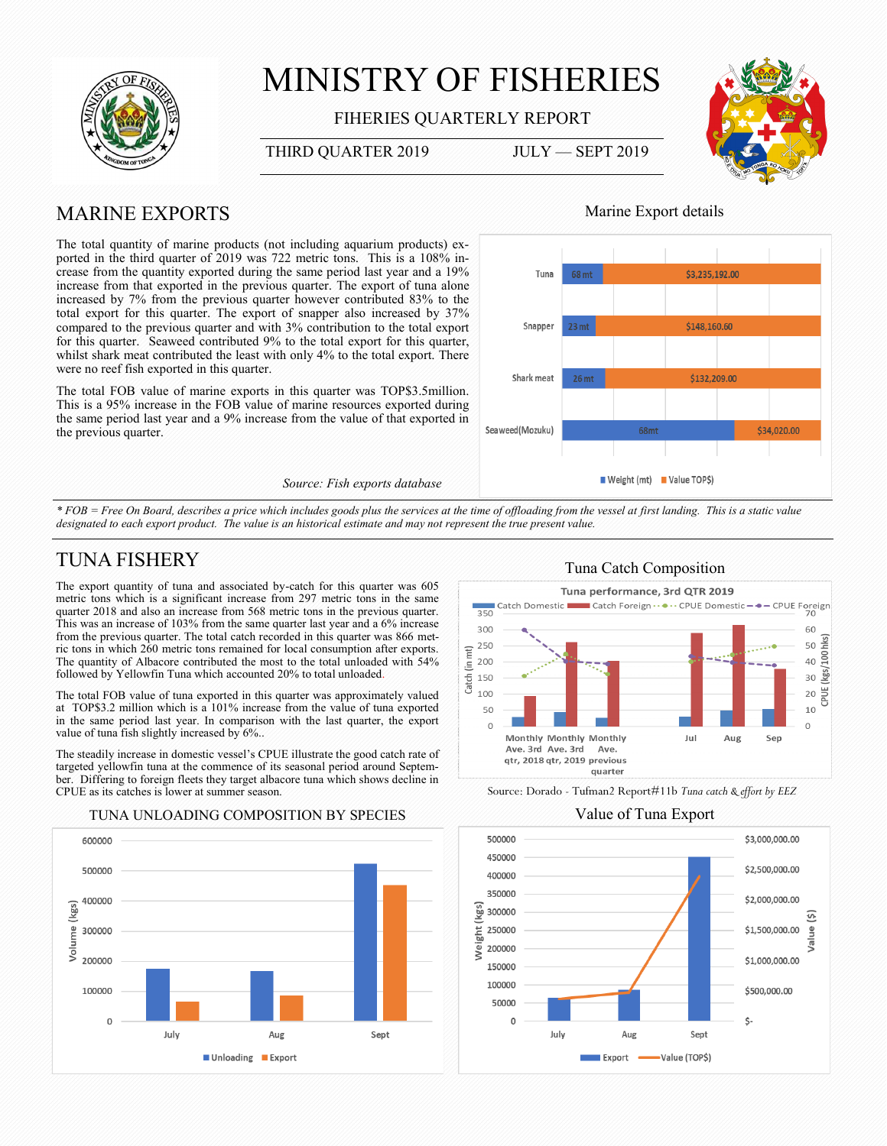

# MINISTRY OF FISHERIES

FIHERIES QUARTERLY REPORT

#### THIRD QUARTER 2019 JULY — SEPT 2019



# MARINE EXPORTS

The total quantity of marine products (not including aquarium products) exported in the third quarter of 2019 was 722 metric tons. This is a 108% increase from the quantity exported during the same period last year and a 19% increase from that exported in the previous quarter. The export of tuna alone increased by 7% from the previous quarter however contributed 83% to the total export for this quarter. The export of snapper also increased by 37% compared to the previous quarter and with 3% contribution to the total export for this quarter. Seaweed contributed 9% to the total export for this quarter, whilst shark meat contributed the least with only 4% to the total export. There were no reef fish exported in this quarter.

The total FOB value of marine exports in this quarter was TOP\$3.5million. This is a 95% increase in the FOB value of marine resources exported during the same period last year and a 9% increase from the value of that exported in the previous quarter.

#### *Source: Fish exports database*

### Marine Export details



*\* FOB = Free On Board, describes a price which includes goods plus the services at the time of offloading from the vessel at first landing. This is a static value*  designated to each export product. The value is an historical estimate and may not represent the true present value.

# TUNA FISHERY

The export quantity of tuna and associated by-catch for this quarter was 605 metric tons which is a significant increase from 297 metric tons in the same quarter 2018 and also an increase from 568 metric tons in the previous quarter. This was an increase of 103% from the same quarter last year and a 6% increase from the previous quarter. The total catch recorded in this quarter was 866 metric tons in which 260 metric tons remained for local consumption after exports. The quantity of Albacore contributed the most to the total unloaded with 54% followed by Yellowfin Tuna which accounted 20% to total unloaded.

The total FOB value of tuna exported in this quarter was approximately valued at TOP\$3.2 million which is a 101% increase from the value of tuna exported in the same period last year. In comparison with the last quarter, the export value of tuna fish slightly increased by 6%..

The steadily increase in domestic vessel's CPUE illustrate the good catch rate of targeted yellowfin tuna at the commence of its seasonal period around September. Differing to foreign fleets they target albacore tuna which shows decline in CPUE as its catches is lower at summer season.

#### 600000 500000 400000 (kgs) Volume 300000 200000 100000  $\Omega$ July Aug Sept ■ Unloading ■ Export

#### Tuna Catch Composition



Source: Dorado - Tufman2 Report#11b *Tuna catch & effort by EEZ*

TUNA UNLOADING COMPOSITION BY SPECIES Value of Tuna Export